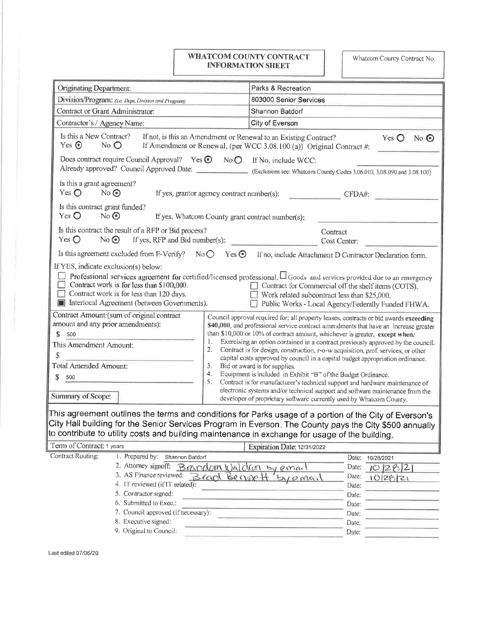## **WHATCOM COUNTY CONTRACT INFORMATION SHEET**

Whatcom County Contract No.

| Originating Department:                                                                                                                                                                                                                                                                                                                                                                                                            | Parks & Recreation                                                                                                                                                                                                                                                                                                                                                                                                                                                                                                                                                                                                                                                                                                                                                                                                                                                                                                                                                                                                                                                                       |
|------------------------------------------------------------------------------------------------------------------------------------------------------------------------------------------------------------------------------------------------------------------------------------------------------------------------------------------------------------------------------------------------------------------------------------|------------------------------------------------------------------------------------------------------------------------------------------------------------------------------------------------------------------------------------------------------------------------------------------------------------------------------------------------------------------------------------------------------------------------------------------------------------------------------------------------------------------------------------------------------------------------------------------------------------------------------------------------------------------------------------------------------------------------------------------------------------------------------------------------------------------------------------------------------------------------------------------------------------------------------------------------------------------------------------------------------------------------------------------------------------------------------------------|
| Division/Program: (i.e. Dept. Division and Program)                                                                                                                                                                                                                                                                                                                                                                                | 803000 Senior Services                                                                                                                                                                                                                                                                                                                                                                                                                                                                                                                                                                                                                                                                                                                                                                                                                                                                                                                                                                                                                                                                   |
| Contract or Grant Administrator:                                                                                                                                                                                                                                                                                                                                                                                                   | Shannon Batdorf                                                                                                                                                                                                                                                                                                                                                                                                                                                                                                                                                                                                                                                                                                                                                                                                                                                                                                                                                                                                                                                                          |
| Contractor's / Agency Name:                                                                                                                                                                                                                                                                                                                                                                                                        | City of Everson                                                                                                                                                                                                                                                                                                                                                                                                                                                                                                                                                                                                                                                                                                                                                                                                                                                                                                                                                                                                                                                                          |
| Is this a New Contract?<br>If not, is this an Amendment or Renewal to an Existing Contract?<br>Yes $\bigcirc$<br>No $\odot$<br>Yes $\odot$<br>$No$ $O$<br>If Amendment or Renewal, (per WCC 3.08.100 (a)) Original Contract #:                                                                                                                                                                                                     |                                                                                                                                                                                                                                                                                                                                                                                                                                                                                                                                                                                                                                                                                                                                                                                                                                                                                                                                                                                                                                                                                          |
| Does contract require Council Approval? Yes $\odot$ No $\odot$<br>Already approved? Council Approved Date: (Exclusions see: Whatcom County Codes 3.06.010, 3.08.090 and 3.08.100)                                                                                                                                                                                                                                                  | If No, include WCC:                                                                                                                                                                                                                                                                                                                                                                                                                                                                                                                                                                                                                                                                                                                                                                                                                                                                                                                                                                                                                                                                      |
| Is this a grant agreement?<br>Yes $\bigcirc$<br>$No$ $\odot$<br>If yes, grantor agency contract number(s):                                                                                                                                                                                                                                                                                                                         | CFDA#:                                                                                                                                                                                                                                                                                                                                                                                                                                                                                                                                                                                                                                                                                                                                                                                                                                                                                                                                                                                                                                                                                   |
| Is this contract grant funded?<br>No<br>Yes $\bigcirc$<br>If yes, Whatcom County grant contract number(s):                                                                                                                                                                                                                                                                                                                         |                                                                                                                                                                                                                                                                                                                                                                                                                                                                                                                                                                                                                                                                                                                                                                                                                                                                                                                                                                                                                                                                                          |
| Is this contract the result of a RFP or Bid process?<br>Yes $\bigcirc$<br>$No\bigodot$<br>If yes, RFP and Bid number(s):                                                                                                                                                                                                                                                                                                           | Contract<br>Cost Center:                                                                                                                                                                                                                                                                                                                                                                                                                                                                                                                                                                                                                                                                                                                                                                                                                                                                                                                                                                                                                                                                 |
| Is this agreement excluded from E-Verify? No $\bigcirc$<br>$Yes$ $\odot$<br>If no, include Attachment D Contractor Declaration form.                                                                                                                                                                                                                                                                                               |                                                                                                                                                                                                                                                                                                                                                                                                                                                                                                                                                                                                                                                                                                                                                                                                                                                                                                                                                                                                                                                                                          |
| If YES, indicate exclusion(s) below:<br>$\vert \ \ \vert$<br>Contract work is for less than \$100,000.<br>$\Box$<br>Contract work is for less than 120 days.<br>$\vdash$<br>Interlocal Agreement (between Governments).<br>Contract Amount: (sum of original contract<br>amount and any prior amendments):<br>\$<br>500<br>1.<br>This Amendment Amount:<br>2.<br>\$<br><b>Total Amended Amount:</b><br>3.<br>4.<br>\$<br>500<br>5. | Professional services agreement for certified/licensed professional. $\Box$ Goods and services provided due to an emergency<br>□ Contract for Commercial off the shelf items (COTS).<br>Work related subcontract less than \$25,000.<br>Public Works - Local Agency/Federally Funded FHWA.<br>Council approval required for; all property leases, contracts or bid awards exceeding<br>\$40,000, and professional service contract amendments that have an increase greater<br>than \$10,000 or 10% of contract amount, whichever is greater, except when:<br>Exercising an option contained in a contract previously approved by the council.<br>Contract is for design, construction, r-o-w acquisition, prof. services, or other<br>capital costs approved by council in a capital budget appropriation ordinance.<br>Bid or award is for supplies.<br>Equipment is included in Exhibit "B" of the Budget Ordinance.<br>Contract is for manufacturer's technical support and hardware maintenance of<br>electronic systems and/or technical support and software maintenance from the |
| Summary of Scope:                                                                                                                                                                                                                                                                                                                                                                                                                  | developer of proprietary software currently used by Whatcom County.                                                                                                                                                                                                                                                                                                                                                                                                                                                                                                                                                                                                                                                                                                                                                                                                                                                                                                                                                                                                                      |
| This agreement outlines the terms and conditions for Parks usage of a portion of the City of Everson's<br>City Hall building for the Senior Services Program in Everson. The County pays the City \$500 annually<br>to contribute to utility costs and building maintenance in exchange for usage of the building.                                                                                                                 |                                                                                                                                                                                                                                                                                                                                                                                                                                                                                                                                                                                                                                                                                                                                                                                                                                                                                                                                                                                                                                                                                          |
| Term of Contract: 1 years                                                                                                                                                                                                                                                                                                                                                                                                          | Expiration Date: 12/31/2022                                                                                                                                                                                                                                                                                                                                                                                                                                                                                                                                                                                                                                                                                                                                                                                                                                                                                                                                                                                                                                                              |
| Contract Routing:<br>1. Prepared by: Shannon Batdorf<br>2. Attorney signoff:<br>Brandom Waldon<br>3. AS Finance reviewed:<br>Brack Benne<br>4. IT reviewed (if IT related):<br>5. Contractor signed:<br>6. Submitted to Exec.:<br>7. Council approved (if necessary):<br>8. Executive signed:                                                                                                                                      | Date:<br>10/28/2021<br>by email<br>10282<br>Date:<br>Date:<br>$P_{M}$<br>10/28/21<br>Date:<br>Date:<br>Date:<br>Date:<br>Date:                                                                                                                                                                                                                                                                                                                                                                                                                                                                                                                                                                                                                                                                                                                                                                                                                                                                                                                                                           |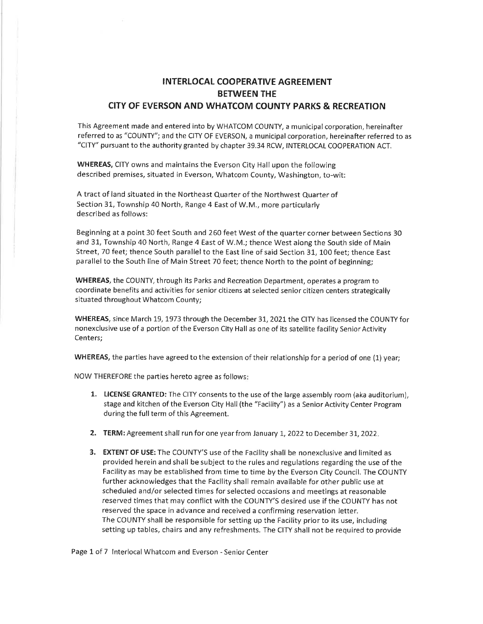## INTERLOCAL COOPERATIVE AGREEMENT BETWEEN THE CITY OF EVERSON AND WHATCOM COUNTY PARKS & RECREATION

This Agreement made and entered into by WHATCOM COUNTY, a municipal corporation, hereinafter referred to as "COUNTY"; and the CITY OF EVERSON, a municipal corporation, hereinafter referred to as "CITY" pursuant to the authority granted by chapter 39.34 RCW, INTERLOCAL COOPERATION ACT.

WHEREAS, CITY owns and maintains the Everson City Hall upon the following described premises, situated in Everson, Whatcom County, Washington, to-wit:

A tract of land situated in the Northeast Quarter of the Northwest Quarter of Section 31, Township 40 North, Range 4 East of W.M., more particularly described as follows:

Beginning at a point 30 feet South and 260 feet West of the quarter corner between Sections 30 and 31, Township 40 North, Range 4 East of W.M,; thence West along the South side of Main Street, 70 feet; thence South parallel to the East line of said Section 31, 100 feet; thence East parallel to the South líne of Main Street 70 feet; thence North to the point of beginning;

WHEREAS, the COUNTY, through its Parks and Recreation Department, operates a program to coordinate benefits and activities for senior citizens at selected senior citizen centers strategically situated throughout Whatcom County;

WHEREAS, since March 19, 1973 through the December 31, 2021 the CITY has licensed the COUNTY for nonexclusive use of a portion of the Everson City Hall as one of its satellite facility Senior Activity Centers;

WHEREAS, the parties have agreed to the extension of their relationship for a period of one (1) year;

NOW THEREFORE the parties hereto agree as follows

- 1. LICENSE GRANTED: The CITY consents to the use of the large assembly room (aka auditorium), stage and kitchen of the Everson City Hall (the "Facility") as a Senior Activity Center Program during the full term of this Agreement.
- 2. TERM: Agreement shall run for one year from January 1, 2022 to December 31, 2022.
- 3. EXTENT OF USE: The COUNTY'S use of the Facility shall be nonexclusive and limíted as provided herein and shall be subject to the rules and regulations regarding the use of the Facility as may be established from time to time by the Everson City Council. The COUNTY further acknowledges that the Facility shall remain available for other public use at scheduled and/or selected times for selected occasions and meetings at reasonable reserved times that may conflict with the COUNry'S desired use if the COUNTY has not reserved the space in advance and received a confirming reservation letter. The COUNTY shall be responsible for setting up the Facility prior to its use, including setting up tables, chairs and any refreshments. The CITY shall not be required to provide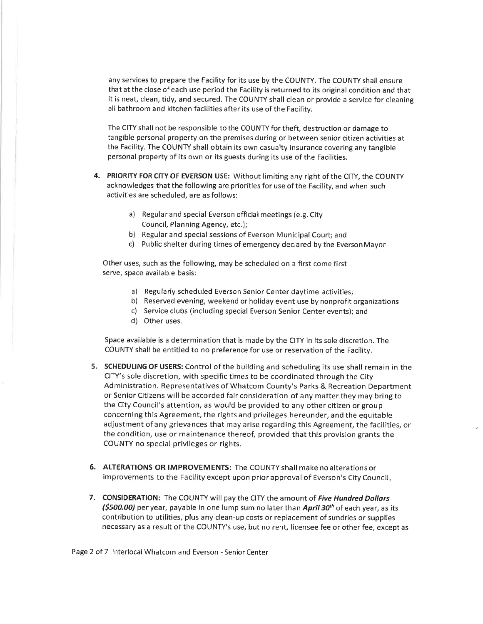any services to prepare the Facility for its use by the COUNTY. The COUNTY shall ensure that at the close of each use period the Facility is returned to its original condition and that it is neat, clean, tídy, and secured. The COUNTY shall clean or provide a service for cleaning all bathroom a nd kitchen facilities after its use of the Facility.

The CITY shall not be responsible to the COUNTY for theft, destruction or damage to tangible personal property on the premises during or between senior citizen activities at the Facility. The COUNTY shall obtain its own casualty insurance covering any tangible personal property of its own or its guests during its use of the Facilities.

- 4. PRIORITY FOR CITY OF EVERSON USE: Without limiting any right of the CITY, the COUNTY acknowledges that the following are prioríties for use of the Facility, and when such activities are scheduled, are as follows:
	- a) Regular and special Everson official meetings (e.g. City Council, Planning Agency, etc.);
	- b) Regular and special sessions of Everson Municipal Court; and
	- c) Public shelter during times of emergency declared by the Everson Mayor

Other uses, such as the following, may be scheduled on a first come first serve, space available basis:

- a) Regularly scheduled Everson Senior Center daytime activities;
- b) Reserved evening, weekend or holiday event use by nonprofit organizations
- c) Service clubs (including special Ëverson Senior Center events); and
- d) Other uses.

Space available is a determination that is made by the CITY in its sole discretion. The COUNTY shall be entitled to no preference for use or reservation of the Facilíty.

- 5. SCHEDULING OF USERS: Control of the building and scheduling its use shall remain in the CITY's sole discretion, with specific times to be coordinated through the City Administration. Representatives of Whatcom County's Parks & Recreation Department or Senior Cítizens will be accorded fair consideration of any matter they may bring to the City Council's attention, as would be provided to any other citizen or group concerning this Agreement, the rights and privileges hereunder, and the equitable adjustment of any grievances that may arise regarding this Agreement, the facilities, or the condition, use or maintenance thereof, provided that this provision grants the COUNTY no special privileges or rights.
- 6. ALTERATIONS OR IMPROVEMENTS: The COUNTY shall make no alterations or improvements to the Facility except upon prior approval of Everson's City Council
- 7. CONSIDERATION: The COUNTY will pay the CITY the amount of Five Hundred Dollars  $$500.00$ ) per year, payable in one lump sum no later than April 30<sup>th</sup> of each year, as its contribution to utilities, plus any clean-up costs or replacement of sundries or supplies necessary as a result ofthe COUNTY's use, but no rent, licensee fee or other fee, except as

Page 2 of 7 lnterlocal Whatcom and Everson - Senior Center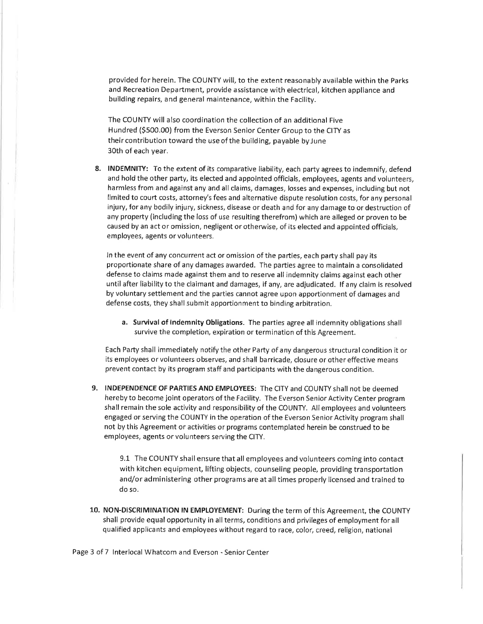provided for herein. The COUNTY will, to the extent reasonably available within the Parks and Recreation Department, provide assístance with electrical, kitchen appliance and buildíng repairs, and general maintenance, within the Facilíty.

The COUNTY will also coordínation the collection of an additional Five Hundred (5500.00) from the Everson Senior Center Group to the CITY as their contribution toward the use of the building, payable by June 30th of each year.

8. INDEMNITY: To the extent of its comparative liability, each party agrees to indemnify, defend and hold the other party, its elected and appointed officials, employees, agents and volunteers, harmless from and against any and all claims, damages, losses and expenses, including but not limited to court costs, attorney's fees and alternative dispute resolution costs, for any personal injury, for any bodily injury, sickness, disease or death and for any damage to or destruction of any property (including the loss of use resulting therefrom) which are alleged or proven to be caused by an act or omission, negligent or otherwise, of its elected and appointed officials, employees, agents or volunteers.

ln the event of any concurrent act or omission of the parties, each party shall pay its proportionate share of any damages awarded. The parties agree to maintain a consolidated defense to claims made against them and to reserve all indemnity claims against each other until after liability to the claimant and damages, if any, are adjudicated. lf any claim is resolved by voluntary settlement and the parties cannot agree upon apportionment of damages and defense costs, they shall submit apportionment to binding arbitration.

a. Survival of lndemnity Obligations. The parties agree all indemnity obligations shall survive the completion, expiration or termìnation of this Agreement.

Each Party shall immediately notify the other Party of any dangerous structural condition it or its employees or volunteers observes, and shall barricade, closure or other effective means prevent contact by its program staff and participants with the dangerous condition.

9. INDEPENDENCE OF PARTIES AND EMPLOYEES: The CITY and COUNTY shall not be deemed hereby to become joint operators of the Facility. The Everson Senior Activity Center program shall remain the sole activity and responsibility of the COUNTY. All employees and volunteers engaged or serving the COUNTY in the operation of the Everson Senior Activity program shall not by this Agreement or activities or programs contemplated herein be construed to be employees, agents or volunteers serving the CITY.

9,1 The COUNTY shall ensure that all employees and volunteers coming into contact with kitchen equipment, lifting objects, counseling people, providing transportation and/or administering other programs are at all times properly licensed and trained to do so.

10. NON-DISCRIMINATION lN EMPLOYEMENT: Duríng the term of this Agreement, the COUNTY shall provide equal opportunity in all terms, conditions and privileges of employment for all qualified applicants and employees without regard to race, color, creed, religion, national

Page 3 of 7 lnterlocal Whatcom and Everson - Senior Center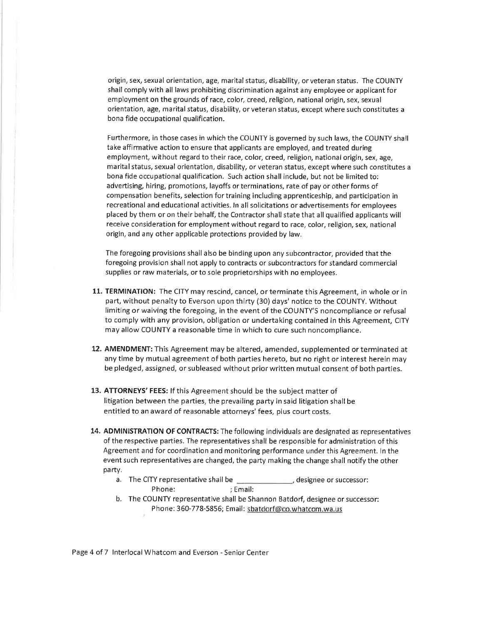origin, sex, sexual orientation, age, marital status, disability, or veteran status. The COUNTY shall comply with all laws prohibiting discrimination against any employee or applicant for employment on the grounds of race, color, creed, religion, national origin, sex, sexual orientation, age, marital status, disability, or veteran status, except where such constitutes <sup>a</sup> bona fide occupational qualification.

Furthermore, in those cases in which the COUNTY is governed by such laws, the COUNTY shall take affirmative action to ensure that applicants are employed, and treated during employment, without regard to their race, color, creed, religion, national origin, sex, age, marital status, sexual orientation, disability, or veteran status, except where such constitutes a bona fide occupational qualification. Such action shall include, but not be limited to: advertising, hiring, promotions, layoffs or terminations, rate of pay or other forms of compensation benefits, selection fortraining including apprenticeship, and participation in recreational and educationaf activities. ln all solicitations or advertisements for employees placed by them or on their behalf, the Contractor shall state that all qualified applicants will receive consideration for employment without regard to race, color, religion, sex, national origin, and any other applicable protections provided by law.

The foregoing provisions shall also be binding upon any subcontractor, provided that the foregoing provision shall not apply to contracts or subcontractors for standard commercial supplies or raw materials, or to sole proprietorships with no employees.

- 11. TERMINATION: The CITY may rescind, cancel, or terminate this Agreement, in whole or in part, without penalty to Everson upon thirty (30) days' notice to the COUNTY. Without limiting or waiving the foregoing, in the event of the COUNTY'S noncompliance or refusal to comply with any provision, obligation or undertaking contaíned in this Agreement, CITY may allow COUNTY a reasonable time in which to cure such noncompliance.
- 12. AMENDMENT: This Agreement may be altered, amended, supplemented or terminated at any time by mutual agreement of both parties hereto, but no right or interest herein may be pledged, assigned, or subleased without prior written mutual consent of both parties.
- 13. ATTORNEYS' FEES: lf this Agreement should be the subject matter of litigation between the parties, the prevailing party in said litigation shall be entitled to an award of reasonable attorneys' fees, plus court costs.
- 14. ADMINISTRATION OF CONTRACTS: The following individuals are designated as representatives of the respective parties. The representatives shall be responsible for administration of this Agreement and for coordination and monitoring performance under this Agreement. ln the event such representatives are changed, the party making the change shall notify the other party.
	- a. The CITY representative shall be designee or successor: Phone: ; Email:
	- b. The COUNTY representative shall be Shannon Batdorf, designee or successor: Phone: 360-778-5856; Email: sbatdorf@co.whatcom.wa.us

Page 4 of 7 lnterlocal Whatcom and Everson - Senior Center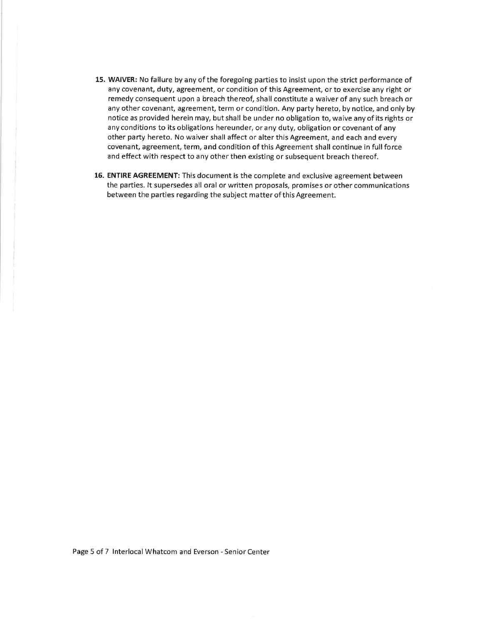- 15. WAIVER: No failure by any of the foregoing parties to insist upon the strict performance of any covenant, duty, agreement, or condition of this Agreement, or to exercise any right or remedy consequent upon a breach thereof, shall constitute a waiver of any such breach or any other covenant, agreement, term or condition. Any party hereto, by notice, and only by notice as provided herein may, but shall be under no obligation to, waive any of its rights or any conditions to its obligations hereunder, or any duty, obligation or covenant of any other party hereto. No waiver shall affect or alter this Agreement, and each and every covenant, agreement, term, and condition of thís Agreement shall continue in full force and effect with respect to any other then existíng or subsequent breach thereof.
- 16. ENTIRE AGREEMENT: This document is the complete and exclusive agreement between the parties. lt supersedes all oral or written proposals, promises or other communications between the parties regarding the subject matter of this Agreement.

Page 5 of 7 lnterlocal Whatcom and Everson - Seníor Center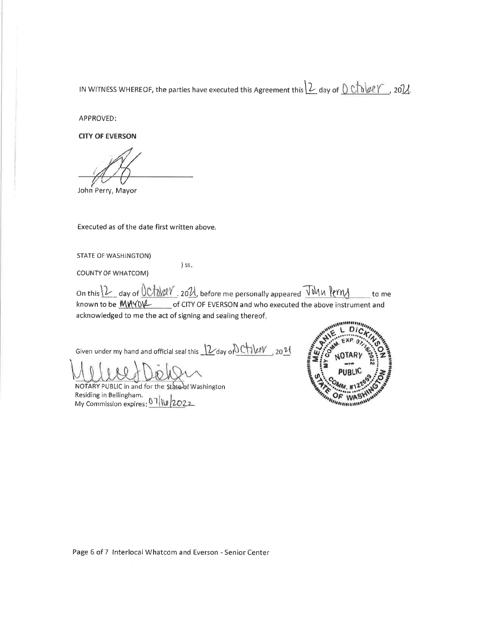IN WITNESS WHEREOF, the parties have executed this Agreement this  $2$  day of  $0$   $\triangle$   $0$   $\angle$   $\triangle$   $\angle$   $\angle$ 

APPROVED:

**CITY OF EVERSON** 

John Perry, Mayor

Executed as of the date first written above.

**STATE OF WASHINGTON)** 

) ss.

**COUNTY OF WHATCOM)** 

on this 12 day of UChW2V 2021, before me personally appeared John Perny  $\overline{\phantom{a}}$  to me known to be  $M/MV$  of CITY OF EVERSON and who executed the above instrument and acknowledged to me the act of signing and sealing thereof.

Given under my hand and official seal this 12 day on Chilety 2011

NOTARY PUBLIC in and for the State of Washington Residing in Bellingham. My Commission expires: 07/10/2022



Page 6 of 7 Interlocal Whatcom and Everson - Senior Center